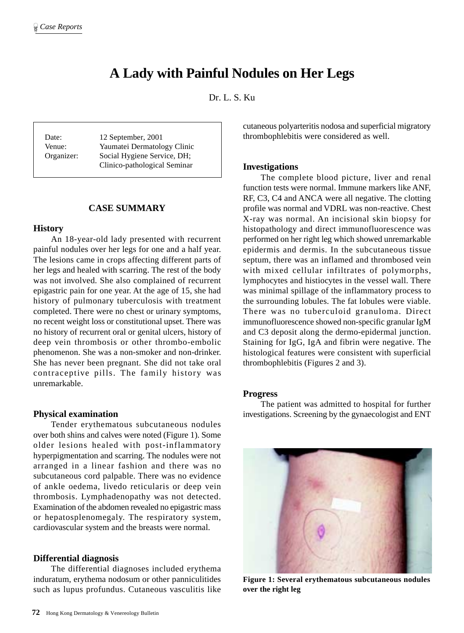# **A Lady with Painful Nodules on Her Legs**

Dr. L. S. Ku

Date: 12 September, 2001 Venue: Yaumatei Dermatology Clinic Organizer: Social Hygiene Service, DH; Clinico-pathological Seminar

## **CASE SUMMARY**

## **History**

An 18-year-old lady presented with recurrent painful nodules over her legs for one and a half year. The lesions came in crops affecting different parts of her legs and healed with scarring. The rest of the body was not involved. She also complained of recurrent epigastric pain for one year. At the age of 15, she had history of pulmonary tuberculosis with treatment completed. There were no chest or urinary symptoms, no recent weight loss or constitutional upset. There was no history of recurrent oral or genital ulcers, history of deep vein thrombosis or other thrombo-embolic phenomenon. She was a non-smoker and non-drinker. She has never been pregnant. She did not take oral contraceptive pills. The family history was unremarkable.

## **Physical examination**

Tender erythematous subcutaneous nodules over both shins and calves were noted (Figure 1). Some older lesions healed with post-inflammatory hyperpigmentation and scarring. The nodules were not arranged in a linear fashion and there was no subcutaneous cord palpable. There was no evidence of ankle oedema, livedo reticularis or deep vein thrombosis. Lymphadenopathy was not detected. Examination of the abdomen revealed no epigastric mass or hepatosplenomegaly. The respiratory system, cardiovascular system and the breasts were normal.

## **Differential diagnosis**

The differential diagnoses included erythema induratum, erythema nodosum or other panniculitides such as lupus profundus. Cutaneous vasculitis like cutaneous polyarteritis nodosa and superficial migratory thrombophlebitis were considered as well.

#### **Investigations**

The complete blood picture, liver and renal function tests were normal. Immune markers like ANF, RF, C3, C4 and ANCA were all negative. The clotting profile was normal and VDRL was non-reactive. Chest X-ray was normal. An incisional skin biopsy for histopathology and direct immunofluorescence was performed on her right leg which showed unremarkable epidermis and dermis. In the subcutaneous tissue septum, there was an inflamed and thrombosed vein with mixed cellular infiltrates of polymorphs, lymphocytes and histiocytes in the vessel wall. There was minimal spillage of the inflammatory process to the surrounding lobules. The fat lobules were viable. There was no tuberculoid granuloma. Direct immunofluorescence showed non-specific granular IgM and C3 deposit along the dermo-epidermal junction. Staining for IgG, IgA and fibrin were negative. The histological features were consistent with superficial thrombophlebitis (Figures 2 and 3).

## **Progress**

The patient was admitted to hospital for further investigations. Screening by the gynaecologist and ENT



**Figure 1: Several erythematous subcutaneous nodules over the right leg**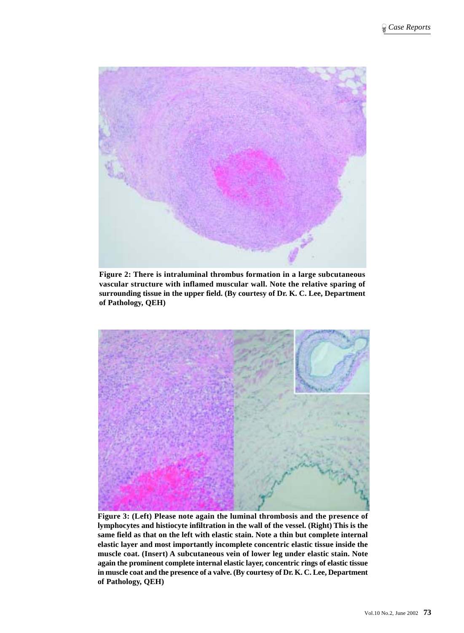

**Figure 2: There is intraluminal thrombus formation in a large subcutaneous vascular structure with inflamed muscular wall. Note the relative sparing of surrounding tissue in the upper field. (By courtesy of Dr. K. C. Lee, Department of Pathology, QEH)**



**Figure 3: (Left) Please note again the luminal thrombosis and the presence of lymphocytes and histiocyte infiltration in the wall of the vessel. (Right) This is the same field as that on the left with elastic stain. Note a thin but complete internal elastic layer and most importantly incomplete concentric elastic tissue inside the muscle coat. (Insert) A subcutaneous vein of lower leg under elastic stain. Note again the prominent complete internal elastic layer, concentric rings of elastic tissue in muscle coat and the presence of a valve. (By courtesy of Dr. K. C. Lee, Department of Pathology, QEH)**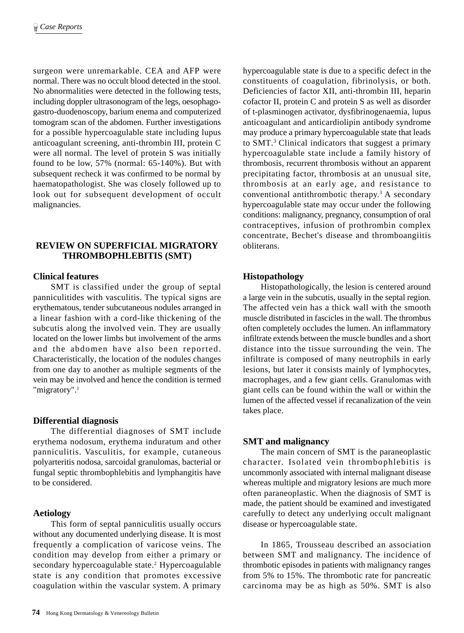surgeon were unremarkable. CEA and AFP were normal. There was no occult blood detected in the stool. No abnormalities were detected in the following tests, including doppler ultrasonogram of the legs, oesophagogastro-duodenoscopy, barium enema and computerized tomogram scan of the abdomen. Further investigations for a possible hypercoagulable state including lupus anticoagulant screening, anti-thrombin III, protein C were all normal. The level of protein S was initially found to be low, 57% (normal: 65-140%). But with subsequent recheck it was confirmed to be normal by haematopathologist. She was closely followed up to look out for subsequent development of occult malignancies.

# **REVIEW ON SUPERFICIAL MIGRATORY THROMBOPHLEBITIS (SMT)**

## **Clinical features**

SMT is classified under the group of septal panniculitides with vasculitis. The typical signs are erythematous, tender subcutaneous nodules arranged in a linear fashion with a cord-like thickening of the subcutis along the involved vein. They are usually located on the lower limbs but involvement of the arms and the abdomen have also been reported. Characteristically, the location of the nodules changes from one day to another as multiple segments of the vein may be involved and hence the condition is termed "migratory".<sup>1</sup>

### **Differential diagnosis**

The differential diagnoses of SMT include erythema nodosum, erythema induratum and other panniculitis. Vasculitis, for example, cutaneous polyarteritis nodosa, sarcoidal granulomas, bacterial or fungal septic thrombophlebitis and lymphangitis have to be considered.

## **Aetiology**

This form of septal panniculitis usually occurs without any documented underlying disease. It is most frequently a complication of varicose veins. The condition may develop from either a primary or secondary hypercoagulable state.<sup>2</sup> Hypercoagulable state is any condition that promotes excessive coagulation within the vascular system. A primary

hypercoagulable state is due to a specific defect in the constituents of coagulation, fibrinolysis, or both. Deficiencies of factor XII, anti-thrombin III, heparin cofactor II, protein C and protein S as well as disorder of t-plasminogen activator, dysfibrinogenaemia, lupus anticoagulant and anticardiolipin antibody syndrome may produce a primary hypercoagulable state that leads to SMT.3 Clinical indicators that suggest a primary hypercoagulable state include a family history of thrombosis, recurrent thrombosis without an apparent precipitating factor, thrombosis at an unusual site, thrombosis at an early age, and resistance to conventional antithrombotic therapy.<sup>3</sup> A secondary hypercoagulable state may occur under the following conditions: malignancy, pregnancy, consumption of oral contraceptives, infusion of prothrombin complex concentrate, Bechet's disease and thromboangiitis obliterans.

## **Histopathology**

Histopathologically, the lesion is centered around a large vein in the subcutis, usually in the septal region. The affected vein has a thick wall with the smooth muscle distributed in fascicles in the wall. The thrombus often completely occludes the lumen. An inflammatory infiltrate extends between the muscle bundles and a short distance into the tissue surrounding the vein. The infiltrate is composed of many neutrophils in early lesions, but later it consists mainly of lymphocytes, macrophages, and a few giant cells. Granulomas with giant cells can be found within the wall or within the lumen of the affected vessel if recanalization of the vein takes place.

## **SMT and malignancy**

The main concern of SMT is the paraneoplastic character. Isolated vein thrombophlebitis is uncommonly associated with internal malignant disease whereas multiple and migratory lesions are much more often paraneoplastic. When the diagnosis of SMT is made, the patient should be examined and investigated carefully to detect any underlying occult malignant disease or hypercoagulable state.

In 1865, Trousseau described an association between SMT and malignancy. The incidence of thrombotic episodes in patients with malignancy ranges from 5% to 15%. The thrombotic rate for pancreatic carcinoma may be as high as 50%. SMT is also